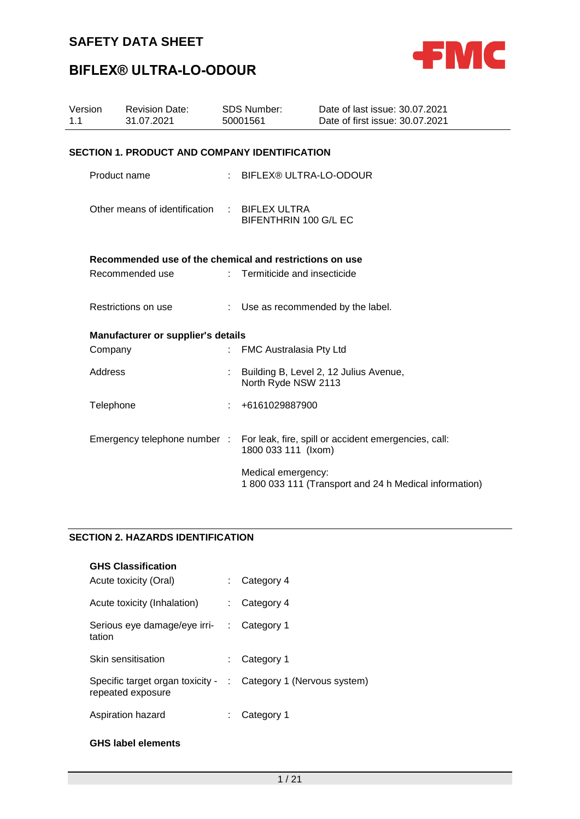

# **BIFLEX® ULTRA-LO-ODOUR**

| Version<br>1.1 | <b>Revision Date:</b><br>31.07.2021                     | <b>SDS Number:</b><br>50001561 |                               | Date of last issue: 30.07.2021<br>Date of first issue: 30.07.2021 |  |  |  |  |
|----------------|---------------------------------------------------------|--------------------------------|-------------------------------|-------------------------------------------------------------------|--|--|--|--|
|                | <b>SECTION 1. PRODUCT AND COMPANY IDENTIFICATION</b>    |                                |                               |                                                                   |  |  |  |  |
|                | Product name                                            |                                | : BIFLEX® ULTRA-LO-ODOUR      |                                                                   |  |  |  |  |
|                | Other means of identification : BIFLEX ULTRA            |                                | BIFENTHRIN 100 G/L EC         |                                                                   |  |  |  |  |
|                | Recommended use of the chemical and restrictions on use |                                |                               |                                                                   |  |  |  |  |
|                | Recommended use                                         |                                | : Termiticide and insecticide |                                                                   |  |  |  |  |
|                | Restrictions on use                                     |                                |                               | : Use as recommended by the label.                                |  |  |  |  |
|                | Manufacturer or supplier's details                      |                                |                               |                                                                   |  |  |  |  |
|                | Company                                                 |                                | FMC Australasia Pty Ltd       |                                                                   |  |  |  |  |
|                | Address                                                 |                                | North Ryde NSW 2113           | Building B, Level 2, 12 Julius Avenue,                            |  |  |  |  |
|                | Telephone                                               |                                | +6161029887900                |                                                                   |  |  |  |  |
|                | Emergency telephone number :                            |                                | 1800 033 111 (Ixom)           | For leak, fire, spill or accident emergencies, call:              |  |  |  |  |
|                |                                                         |                                | Medical emergency:            | 1 800 033 111 (Transport and 24 h Medical information)            |  |  |  |  |

### **SECTION 2. HAZARDS IDENTIFICATION**

| <b>GHS Classification</b>                               |    |                             |
|---------------------------------------------------------|----|-----------------------------|
| Acute toxicity (Oral)                                   |    | Category 4                  |
| Acute toxicity (Inhalation)                             |    | Category 4                  |
| Serious eye damage/eye irri-<br>tation                  | ÷. | Category 1                  |
| Skin sensitisation                                      | t. | Category 1                  |
| Specific target organ toxicity - :<br>repeated exposure |    | Category 1 (Nervous system) |
| Aspiration hazard                                       |    | Category 1                  |

### **GHS label elements**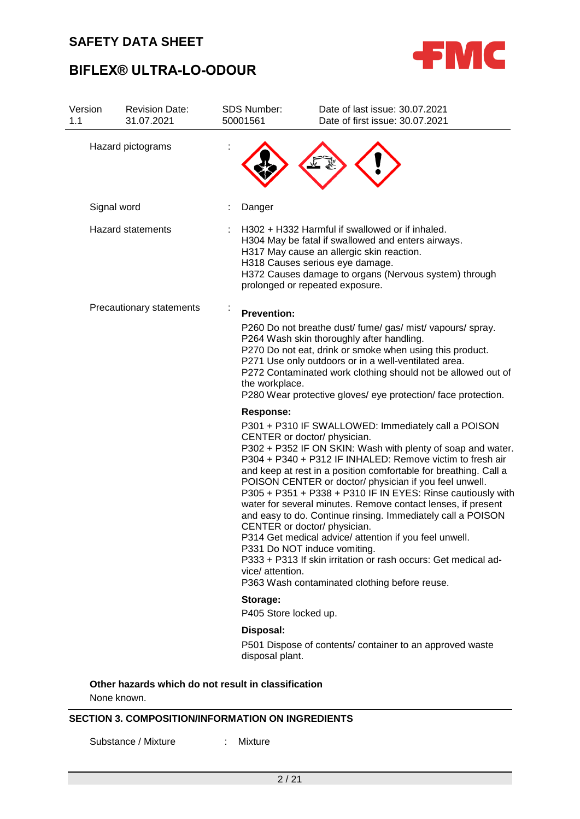



| Version<br>1.1 | <b>Revision Date:</b><br>31.07.2021                 | <b>SDS Number:</b><br>50001561       | Date of last issue: 30.07.2021<br>Date of first issue: 30.07.2021                                                                                                                                                                                                                                                                                                                                                                                                                                                                                                                                                                                                                                                                                                                        |
|----------------|-----------------------------------------------------|--------------------------------------|------------------------------------------------------------------------------------------------------------------------------------------------------------------------------------------------------------------------------------------------------------------------------------------------------------------------------------------------------------------------------------------------------------------------------------------------------------------------------------------------------------------------------------------------------------------------------------------------------------------------------------------------------------------------------------------------------------------------------------------------------------------------------------------|
|                | Hazard pictograms                                   |                                      |                                                                                                                                                                                                                                                                                                                                                                                                                                                                                                                                                                                                                                                                                                                                                                                          |
|                | Signal word                                         | Danger                               |                                                                                                                                                                                                                                                                                                                                                                                                                                                                                                                                                                                                                                                                                                                                                                                          |
|                | <b>Hazard statements</b>                            |                                      | H302 + H332 Harmful if swallowed or if inhaled.<br>H304 May be fatal if swallowed and enters airways.<br>H317 May cause an allergic skin reaction.<br>H318 Causes serious eye damage.<br>H372 Causes damage to organs (Nervous system) through<br>prolonged or repeated exposure.                                                                                                                                                                                                                                                                                                                                                                                                                                                                                                        |
|                | Precautionary statements                            | <b>Prevention:</b><br>the workplace. | P260 Do not breathe dust/ fume/ gas/ mist/ vapours/ spray.<br>P264 Wash skin thoroughly after handling.<br>P270 Do not eat, drink or smoke when using this product.<br>P271 Use only outdoors or in a well-ventilated area.<br>P272 Contaminated work clothing should not be allowed out of<br>P280 Wear protective gloves/ eye protection/ face protection.                                                                                                                                                                                                                                                                                                                                                                                                                             |
|                |                                                     | <b>Response:</b><br>vice/ attention. | P301 + P310 IF SWALLOWED: Immediately call a POISON<br>CENTER or doctor/ physician.<br>P302 + P352 IF ON SKIN: Wash with plenty of soap and water.<br>P304 + P340 + P312 IF INHALED: Remove victim to fresh air<br>and keep at rest in a position comfortable for breathing. Call a<br>POISON CENTER or doctor/ physician if you feel unwell.<br>P305 + P351 + P338 + P310 IF IN EYES: Rinse cautiously with<br>water for several minutes. Remove contact lenses, if present<br>and easy to do. Continue rinsing. Immediately call a POISON<br>CENTER or doctor/ physician.<br>P314 Get medical advice/ attention if you feel unwell.<br>P331 Do NOT induce vomiting.<br>P333 + P313 If skin irritation or rash occurs: Get medical ad-<br>P363 Wash contaminated clothing before reuse. |
|                |                                                     | Storage:<br>P405 Store locked up.    |                                                                                                                                                                                                                                                                                                                                                                                                                                                                                                                                                                                                                                                                                                                                                                                          |
|                |                                                     | Disposal:<br>disposal plant.         | P501 Dispose of contents/ container to an approved waste                                                                                                                                                                                                                                                                                                                                                                                                                                                                                                                                                                                                                                                                                                                                 |
|                | Other hazarde which do not recult in classification |                                      |                                                                                                                                                                                                                                                                                                                                                                                                                                                                                                                                                                                                                                                                                                                                                                                          |

**Other hazards which do not result in classification**

None known.

### **SECTION 3. COMPOSITION/INFORMATION ON INGREDIENTS**

Substance / Mixture : Mixture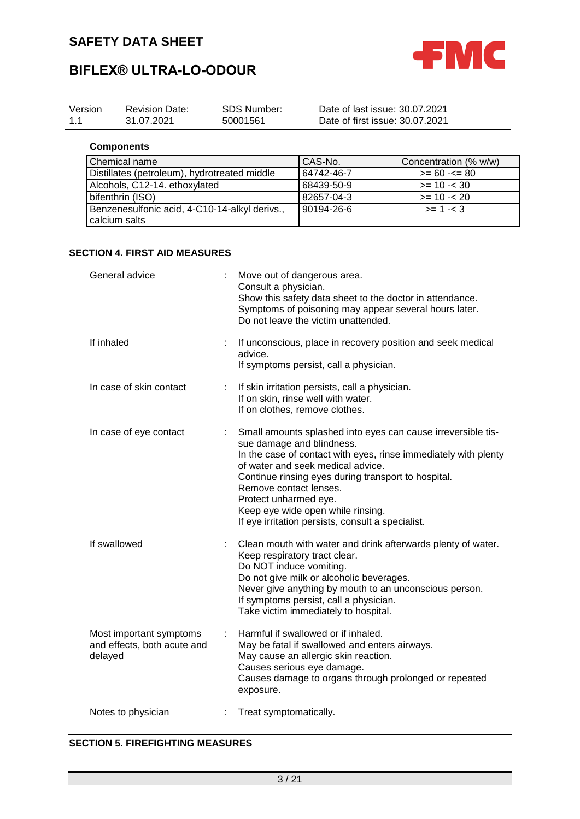

| Version<br>1.1 | <b>Revision Date:</b><br><b>SDS Number:</b><br>31.07.2021<br>50001561 |                                                        | Date of last issue: 30.07.2021<br>Date of first issue: 30.07.2021 |                                                                    |                                                                                                                                                                                                                 |                                                                                                                                 |
|----------------|-----------------------------------------------------------------------|--------------------------------------------------------|-------------------------------------------------------------------|--------------------------------------------------------------------|-----------------------------------------------------------------------------------------------------------------------------------------------------------------------------------------------------------------|---------------------------------------------------------------------------------------------------------------------------------|
|                | <b>Components</b>                                                     |                                                        |                                                                   |                                                                    |                                                                                                                                                                                                                 |                                                                                                                                 |
|                | Chemical name                                                         |                                                        |                                                                   |                                                                    | CAS-No.                                                                                                                                                                                                         | Concentration (% w/w)                                                                                                           |
|                |                                                                       | Distillates (petroleum), hydrotreated middle           |                                                                   |                                                                    | 64742-46-7                                                                                                                                                                                                      | $>= 60 - 80$                                                                                                                    |
|                |                                                                       | Alcohols, C12-14. ethoxylated                          |                                                                   |                                                                    | 68439-50-9                                                                                                                                                                                                      | $>= 10 - 30$                                                                                                                    |
|                | bifenthrin (ISO)                                                      |                                                        |                                                                   |                                                                    | 82657-04-3                                                                                                                                                                                                      | $>= 10 - 20$                                                                                                                    |
|                |                                                                       | Benzenesulfonic acid, 4-C10-14-alkyl derivs.,          |                                                                   |                                                                    | 90194-26-6                                                                                                                                                                                                      | $>= 1 - 3$                                                                                                                      |
|                | calcium salts                                                         |                                                        |                                                                   |                                                                    |                                                                                                                                                                                                                 |                                                                                                                                 |
|                |                                                                       |                                                        |                                                                   |                                                                    |                                                                                                                                                                                                                 |                                                                                                                                 |
|                |                                                                       | <b>SECTION 4. FIRST AID MEASURES</b>                   |                                                                   |                                                                    |                                                                                                                                                                                                                 |                                                                                                                                 |
|                | General advice<br>If inhaled<br>advice.                               |                                                        | Consult a physician.                                              | Move out of dangerous area.<br>Do not leave the victim unattended. | Show this safety data sheet to the doctor in attendance.<br>Symptoms of poisoning may appear several hours later.                                                                                               |                                                                                                                                 |
|                |                                                                       |                                                        |                                                                   | If symptoms persist, call a physician.                             | If unconscious, place in recovery position and seek medical                                                                                                                                                     |                                                                                                                                 |
|                |                                                                       | In case of skin contact                                |                                                                   |                                                                    | If skin irritation persists, call a physician.<br>If on skin, rinse well with water.<br>If on clothes, remove clothes.                                                                                          |                                                                                                                                 |
|                |                                                                       | In case of eye contact                                 | Remove contact lenses.<br>Protect unharmed eye.                   |                                                                    | sue damage and blindness.<br>of water and seek medical advice.<br>Continue rinsing eyes during transport to hospital.<br>Keep eye wide open while rinsing.<br>If eye irritation persists, consult a specialist. | Small amounts splashed into eyes can cause irreversible tis-<br>In the case of contact with eyes, rinse immediately with plenty |
|                | If swallowed                                                          |                                                        |                                                                   | Keep respiratory tract clear.<br>Do NOT induce vomiting.           | Do not give milk or alcoholic beverages.<br>If symptoms persist, call a physician.<br>Take victim immediately to hospital.                                                                                      | Clean mouth with water and drink afterwards plenty of water.<br>Never give anything by mouth to an unconscious person.          |
|                | delayed                                                               | Most important symptoms<br>and effects, both acute and |                                                                   | exposure.                                                          | Harmful if swallowed or if inhaled.<br>May be fatal if swallowed and enters airways.<br>May cause an allergic skin reaction.<br>Causes serious eye damage.                                                      | Causes damage to organs through prolonged or repeated                                                                           |
|                | Notes to physician                                                    |                                                        |                                                                   | Treat symptomatically.                                             |                                                                                                                                                                                                                 |                                                                                                                                 |

### **SECTION 5. FIREFIGHTING MEASURES**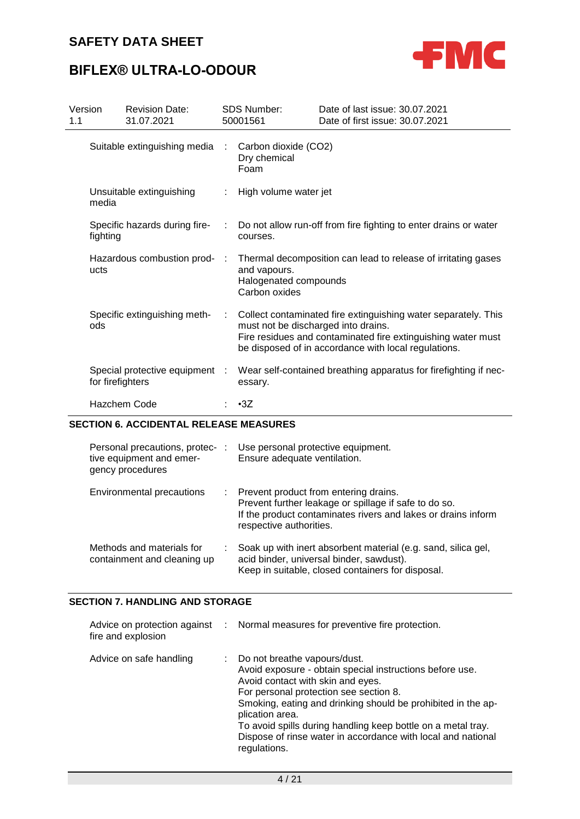

## **BIFLEX® ULTRA-LO-ODOUR**

| Version<br>1.1 |                  | <b>Revision Date:</b><br>31.07.2021 |    | <b>SDS Number:</b><br>50001561                         | Date of last issue: 30.07.2021<br>Date of first issue: 30.07.2021                                                                                                                      |
|----------------|------------------|-------------------------------------|----|--------------------------------------------------------|----------------------------------------------------------------------------------------------------------------------------------------------------------------------------------------|
|                |                  | Suitable extinguishing media        |    | Carbon dioxide (CO2)<br>Dry chemical<br>Foam           |                                                                                                                                                                                        |
|                | media            | Unsuitable extinguishing            |    | : High volume water jet                                |                                                                                                                                                                                        |
|                | fighting         | Specific hazards during fire-       | ÷  | courses.                                               | Do not allow run-off from fire fighting to enter drains or water                                                                                                                       |
|                | ucts             | Hazardous combustion prod- :        |    | and vapours.<br>Halogenated compounds<br>Carbon oxides | Thermal decomposition can lead to release of irritating gases                                                                                                                          |
|                | ods              | Specific extinguishing meth-        | ÷. | must not be discharged into drains.                    | Collect contaminated fire extinguishing water separately. This<br>Fire residues and contaminated fire extinguishing water must<br>be disposed of in accordance with local regulations. |
|                | for firefighters | Special protective equipment :      |    | essary.                                                | Wear self-contained breathing apparatus for firefighting if nec-                                                                                                                       |
|                |                  | Hazchem Code                        |    | $\cdot 3Z$                                             |                                                                                                                                                                                        |

### **SECTION 6. ACCIDENTAL RELEASE MEASURES**

| Personal precautions, protec- :<br>tive equipment and emer-<br>gency procedures | Use personal protective equipment.<br>Ensure adequate ventilation.                                                                                                                           |
|---------------------------------------------------------------------------------|----------------------------------------------------------------------------------------------------------------------------------------------------------------------------------------------|
| Environmental precautions                                                       | : Prevent product from entering drains.<br>Prevent further leakage or spillage if safe to do so.<br>If the product contaminates rivers and lakes or drains inform<br>respective authorities. |
| Methods and materials for<br>containment and cleaning up                        | Soak up with inert absorbent material (e.g. sand, silica gel,<br>acid binder, universal binder, sawdust).<br>Keep in suitable, closed containers for disposal.                               |

### **SECTION 7. HANDLING AND STORAGE**

| fire and explosion      | Advice on protection against : Normal measures for preventive fire protection.                                                                                                                                                                                                                                                                                                                               |
|-------------------------|--------------------------------------------------------------------------------------------------------------------------------------------------------------------------------------------------------------------------------------------------------------------------------------------------------------------------------------------------------------------------------------------------------------|
| Advice on safe handling | : Do not breathe vapours/dust.<br>Avoid exposure - obtain special instructions before use.<br>Avoid contact with skin and eyes.<br>For personal protection see section 8.<br>Smoking, eating and drinking should be prohibited in the ap-<br>plication area.<br>To avoid spills during handling keep bottle on a metal tray.<br>Dispose of rinse water in accordance with local and national<br>regulations. |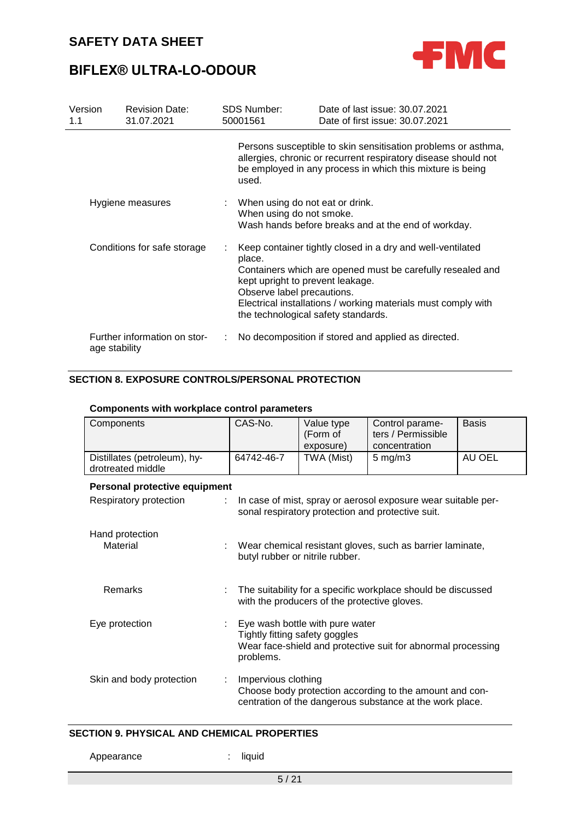

| Version<br>1.1              | <b>Revision Date:</b><br>31.07.2021 | <b>SDS Number:</b><br>50001561                                                                                  | Date of last issue: 30.07.2021<br>Date of first issue: 30.07.2021                                                                                                                            |
|-----------------------------|-------------------------------------|-----------------------------------------------------------------------------------------------------------------|----------------------------------------------------------------------------------------------------------------------------------------------------------------------------------------------|
|                             |                                     | used.                                                                                                           | Persons susceptible to skin sensitisation problems or asthma,<br>allergies, chronic or recurrent respiratory disease should not<br>be employed in any process in which this mixture is being |
|                             | Hygiene measures                    | : When using do not eat or drink.<br>When using do not smoke.                                                   | Wash hands before breaks and at the end of workday.                                                                                                                                          |
| Conditions for safe storage |                                     | place.<br>kept upright to prevent leakage.<br>Observe label precautions.<br>the technological safety standards. | Keep container tightly closed in a dry and well-ventilated<br>Containers which are opened must be carefully resealed and<br>Electrical installations / working materials must comply with    |
| age stability               | Further information on stor-        |                                                                                                                 | No decomposition if stored and applied as directed.                                                                                                                                          |

### **SECTION 8. EXPOSURE CONTROLS/PERSONAL PROTECTION**

| Components                                        | CAS-No.                                                                                                                                        | Value type<br>(Form of<br>exposure)                                                                                | Control parame-<br>ters / Permissible<br>concentration                                                              | <b>Basis</b> |  |  |  |  |  |
|---------------------------------------------------|------------------------------------------------------------------------------------------------------------------------------------------------|--------------------------------------------------------------------------------------------------------------------|---------------------------------------------------------------------------------------------------------------------|--------------|--|--|--|--|--|
| Distillates (petroleum), hy-<br>drotreated middle | 64742-46-7                                                                                                                                     | TWA (Mist)                                                                                                         | $5 \text{ mg/m}$ 3                                                                                                  | AU OEL       |  |  |  |  |  |
|                                                   | Personal protective equipment                                                                                                                  |                                                                                                                    |                                                                                                                     |              |  |  |  |  |  |
| Respiratory protection<br>÷                       |                                                                                                                                                | In case of mist, spray or aerosol exposure wear suitable per-<br>sonal respiratory protection and protective suit. |                                                                                                                     |              |  |  |  |  |  |
| Hand protection<br>Material                       | Wear chemical resistant gloves, such as barrier laminate,<br>butyl rubber or nitrile rubber.                                                   |                                                                                                                    |                                                                                                                     |              |  |  |  |  |  |
| Remarks                                           | The suitability for a specific workplace should be discussed<br>with the producers of the protective gloves.                                   |                                                                                                                    |                                                                                                                     |              |  |  |  |  |  |
| Eye protection                                    | Eye wash bottle with pure water<br>Tightly fitting safety goggles<br>Wear face-shield and protective suit for abnormal processing<br>problems. |                                                                                                                    |                                                                                                                     |              |  |  |  |  |  |
| Skin and body protection                          | Impervious clothing                                                                                                                            |                                                                                                                    | Choose body protection according to the amount and con-<br>centration of the dangerous substance at the work place. |              |  |  |  |  |  |

### **Components with workplace control parameters**

### **SECTION 9. PHYSICAL AND CHEMICAL PROPERTIES**

Appearance : liquid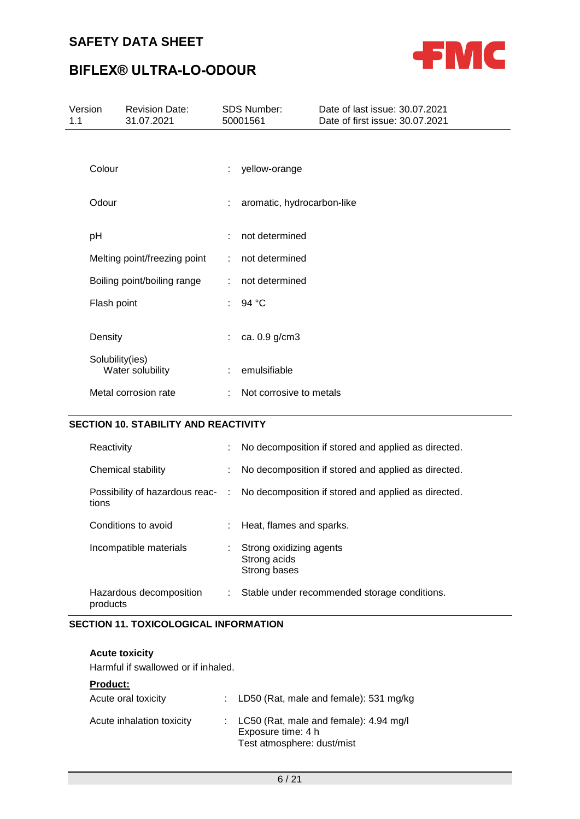

# **BIFLEX® ULTRA-LO-ODOUR**

| Version<br>1.1  | <b>Revision Date:</b><br>31.07.2021 |    | <b>SDS Number:</b><br>50001561 | Date of last issue: 30.07.2021<br>Date of first issue: 30.07.2021 |
|-----------------|-------------------------------------|----|--------------------------------|-------------------------------------------------------------------|
|                 |                                     |    |                                |                                                                   |
| Colour          |                                     | ÷  | yellow-orange                  |                                                                   |
| Odour           |                                     | t. | aromatic, hydrocarbon-like     |                                                                   |
| pH              |                                     | ÷  | not determined                 |                                                                   |
|                 | Melting point/freezing point        | ÷  | not determined                 |                                                                   |
|                 | Boiling point/boiling range         | ÷  | not determined                 |                                                                   |
| Flash point     |                                     | ÷. | 94 °C                          |                                                                   |
| Density         |                                     | ÷. | ca. 0.9 g/cm3                  |                                                                   |
| Solubility(ies) | Water solubility                    | ÷. | emulsifiable                   |                                                                   |
|                 | Metal corrosion rate                | ÷  | Not corrosive to metals        |                                                                   |

### **SECTION 10. STABILITY AND REACTIVITY**

| Reactivity                          | No decomposition if stored and applied as directed.                                  |
|-------------------------------------|--------------------------------------------------------------------------------------|
| Chemical stability                  | No decomposition if stored and applied as directed.                                  |
| tions                               | Possibility of hazardous reac- : No decomposition if stored and applied as directed. |
| Conditions to avoid                 | Heat, flames and sparks.                                                             |
| Incompatible materials              | Strong oxidizing agents<br>Strong acids<br>Strong bases                              |
| Hazardous decomposition<br>products | Stable under recommended storage conditions.                                         |

### **SECTION 11. TOXICOLOGICAL INFORMATION**

| <b>Acute toxicity</b><br>Harmful if swallowed or if inhaled.        |                                                                                                                                        |
|---------------------------------------------------------------------|----------------------------------------------------------------------------------------------------------------------------------------|
| <b>Product:</b><br>Acute oral toxicity<br>Acute inhalation toxicity | : LD50 (Rat, male and female): 531 mg/kg<br>LC50 (Rat, male and female): 4.94 mg/l<br>Exposure time: 4 h<br>Test atmosphere: dust/mist |
|                                                                     |                                                                                                                                        |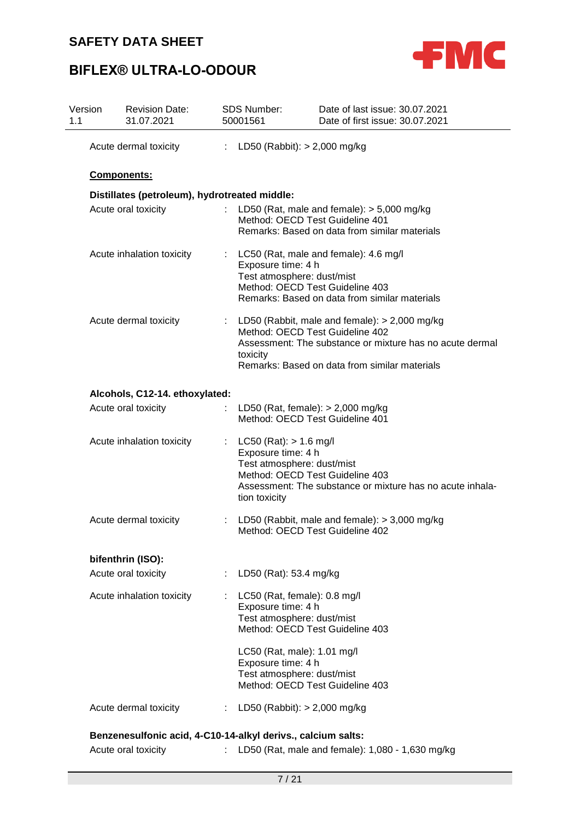



| Version<br>1.1 | <b>Revision Date:</b><br>31.07.2021                          |    | <b>SDS Number:</b><br>50001561                                                                  | Date of last issue: 30.07.2021<br>Date of first issue: 30.07.2021                                                                                                                               |
|----------------|--------------------------------------------------------------|----|-------------------------------------------------------------------------------------------------|-------------------------------------------------------------------------------------------------------------------------------------------------------------------------------------------------|
|                | Acute dermal toxicity                                        |    |                                                                                                 | : LD50 (Rabbit): $> 2,000$ mg/kg                                                                                                                                                                |
|                | Components:                                                  |    |                                                                                                 |                                                                                                                                                                                                 |
|                | Distillates (petroleum), hydrotreated middle:                |    |                                                                                                 |                                                                                                                                                                                                 |
|                | Acute oral toxicity                                          |    |                                                                                                 | LD50 (Rat, male and female): $>$ 5,000 mg/kg<br>Method: OECD Test Guideline 401<br>Remarks: Based on data from similar materials                                                                |
|                | Acute inhalation toxicity                                    |    | Exposure time: 4 h<br>Test atmosphere: dust/mist                                                | LC50 (Rat, male and female): 4.6 mg/l<br>Method: OECD Test Guideline 403<br>Remarks: Based on data from similar materials                                                                       |
|                | Acute dermal toxicity                                        |    | toxicity                                                                                        | LD50 (Rabbit, male and female): $> 2,000$ mg/kg<br>Method: OECD Test Guideline 402<br>Assessment: The substance or mixture has no acute dermal<br>Remarks: Based on data from similar materials |
|                | Alcohols, C12-14. ethoxylated:                               |    |                                                                                                 |                                                                                                                                                                                                 |
|                | Acute oral toxicity                                          |    |                                                                                                 | LD50 (Rat, female): $> 2,000$ mg/kg<br>Method: OECD Test Guideline 401                                                                                                                          |
|                | Acute inhalation toxicity                                    |    | $LC50$ (Rat): $> 1.6$ mg/l<br>Exposure time: 4 h<br>Test atmosphere: dust/mist<br>tion toxicity | Method: OECD Test Guideline 403<br>Assessment: The substance or mixture has no acute inhala-                                                                                                    |
|                | Acute dermal toxicity                                        | ÷. |                                                                                                 | LD50 (Rabbit, male and female): $>$ 3,000 mg/kg<br>Method: OECD Test Guideline 402                                                                                                              |
|                | bifenthrin (ISO):                                            |    |                                                                                                 |                                                                                                                                                                                                 |
|                | Acute oral toxicity                                          | ÷. | LD50 (Rat): 53.4 mg/kg                                                                          |                                                                                                                                                                                                 |
|                | Acute inhalation toxicity                                    | ÷  | Exposure time: 4 h<br>Test atmosphere: dust/mist                                                | LC50 (Rat, female): 0.8 mg/l<br>Method: OECD Test Guideline 403                                                                                                                                 |
|                |                                                              |    | LC50 (Rat, male): 1.01 mg/l<br>Exposure time: 4 h<br>Test atmosphere: dust/mist                 | Method: OECD Test Guideline 403                                                                                                                                                                 |
|                | Acute dermal toxicity                                        | ÷  |                                                                                                 | LD50 (Rabbit): $> 2,000$ mg/kg                                                                                                                                                                  |
|                | Benzenesulfonic acid, 4-C10-14-alkyl derivs., calcium salts: |    |                                                                                                 |                                                                                                                                                                                                 |
|                | Acute oral toxicity                                          | t. |                                                                                                 | LD50 (Rat, male and female): 1,080 - 1,630 mg/kg                                                                                                                                                |
|                |                                                              |    |                                                                                                 |                                                                                                                                                                                                 |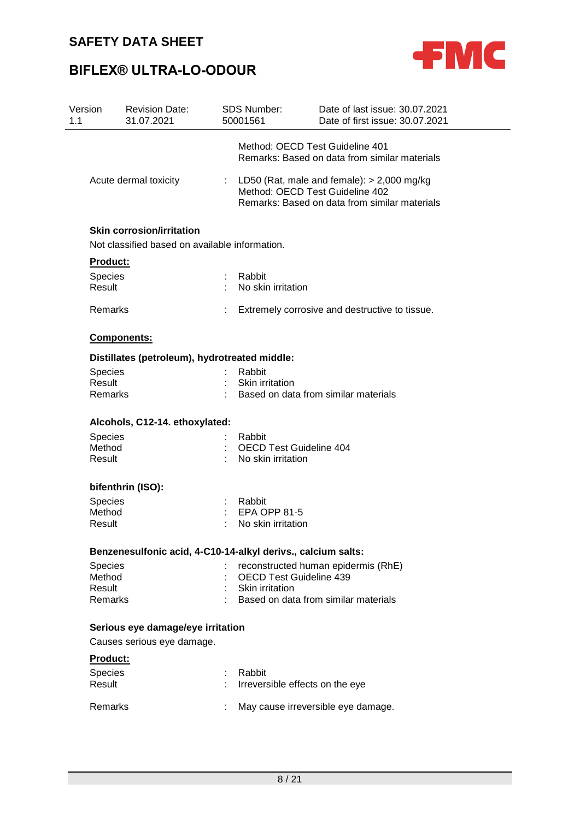

| Version<br>1.1           | <b>Revision Date:</b><br>31.07.2021                          | <b>SDS Number:</b><br>50001561  | Date of last issue: 30.07.2021<br>Date of first issue: 30.07.2021                                                                  |
|--------------------------|--------------------------------------------------------------|---------------------------------|------------------------------------------------------------------------------------------------------------------------------------|
|                          |                                                              | Method: OECD Test Guideline 401 | Remarks: Based on data from similar materials                                                                                      |
|                          | Acute dermal toxicity                                        |                                 | : LD50 (Rat, male and female): $> 2,000$ mg/kg<br>Method: OECD Test Guideline 402<br>Remarks: Based on data from similar materials |
|                          | <b>Skin corrosion/irritation</b>                             |                                 |                                                                                                                                    |
|                          | Not classified based on available information.               |                                 |                                                                                                                                    |
| Product:                 |                                                              |                                 |                                                                                                                                    |
| <b>Species</b><br>Result |                                                              | : Rabbit<br>No skin irritation  |                                                                                                                                    |
| Remarks                  |                                                              |                                 | Extremely corrosive and destructive to tissue.                                                                                     |
|                          | Components:                                                  |                                 |                                                                                                                                    |
|                          | Distillates (petroleum), hydrotreated middle:                |                                 |                                                                                                                                    |
| Species                  |                                                              | Rabbit                          |                                                                                                                                    |
| Result                   |                                                              | Skin irritation                 |                                                                                                                                    |
| Remarks                  |                                                              |                                 | Based on data from similar materials                                                                                               |
|                          | Alcohols, C12-14. ethoxylated:                               |                                 |                                                                                                                                    |
| <b>Species</b>           |                                                              | Rabbit                          |                                                                                                                                    |
| Method                   |                                                              | <b>OECD Test Guideline 404</b>  |                                                                                                                                    |
| Result                   |                                                              | No skin irritation              |                                                                                                                                    |
|                          | bifenthrin (ISO):                                            |                                 |                                                                                                                                    |
| Species                  |                                                              | Rabbit                          |                                                                                                                                    |
| Method                   |                                                              | <b>EPA OPP 81-5</b>             |                                                                                                                                    |
| Result                   |                                                              | No skin irritation              |                                                                                                                                    |
|                          | Benzenesulfonic acid, 4-C10-14-alkyl derivs., calcium salts: |                                 |                                                                                                                                    |
| <b>Species</b>           |                                                              |                                 | reconstructed human epidermis (RhE)                                                                                                |
| Method                   |                                                              | <b>OECD Test Guideline 439</b>  |                                                                                                                                    |
| Result                   |                                                              | Skin irritation                 |                                                                                                                                    |
| Remarks                  |                                                              |                                 | Based on data from similar materials                                                                                               |
|                          | Serious eye damage/eye irritation                            |                                 |                                                                                                                                    |
|                          | Causes serious eye damage.                                   |                                 |                                                                                                                                    |
| <b>Product:</b>          |                                                              |                                 |                                                                                                                                    |
| Species                  |                                                              | Rabbit                          |                                                                                                                                    |
| Result                   |                                                              | Irreversible effects on the eye |                                                                                                                                    |
| <b>Remarks</b>           |                                                              |                                 | May cause irreversible eye damage.                                                                                                 |
|                          |                                                              |                                 |                                                                                                                                    |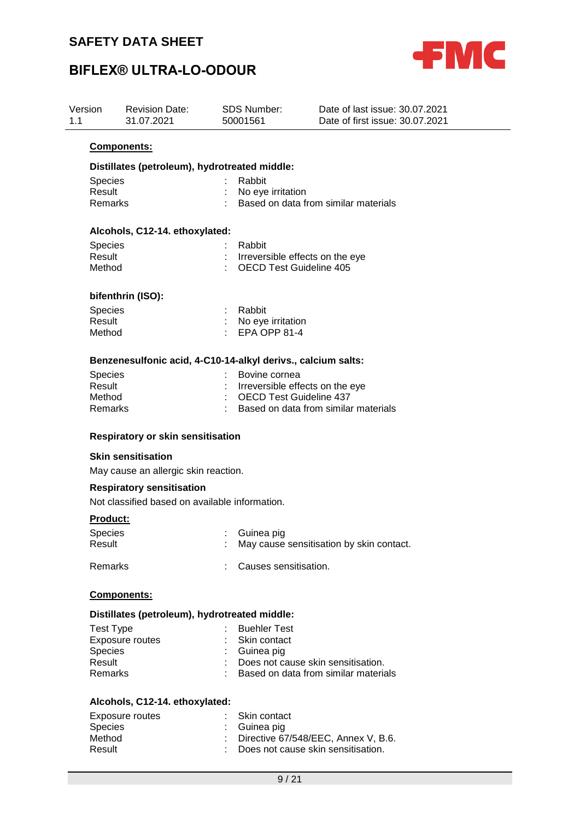

| Version<br>1.1   | <b>Revision Date:</b><br>31.07.2021                          | <b>SDS Number:</b><br>50001561 | Date of last issue: 30.07.2021<br>Date of first issue: 30.07.2021 |
|------------------|--------------------------------------------------------------|--------------------------------|-------------------------------------------------------------------|
|                  | Components:                                                  |                                |                                                                   |
|                  | Distillates (petroleum), hydrotreated middle:                |                                |                                                                   |
| <b>Species</b>   |                                                              | Rabbit                         |                                                                   |
| Result           |                                                              | No eye irritation              |                                                                   |
| Remarks          |                                                              |                                | Based on data from similar materials                              |
|                  | Alcohols, C12-14. ethoxylated:                               |                                |                                                                   |
| <b>Species</b>   |                                                              | Rabbit                         |                                                                   |
| Result           |                                                              |                                | Irreversible effects on the eye                                   |
| Method           |                                                              | <b>OECD Test Guideline 405</b> |                                                                   |
|                  | bifenthrin (ISO):                                            |                                |                                                                   |
| <b>Species</b>   |                                                              | Rabbit                         |                                                                   |
| Result           |                                                              | No eye irritation              |                                                                   |
| Method           |                                                              | EPA OPP 81-4                   |                                                                   |
|                  | Benzenesulfonic acid, 4-C10-14-alkyl derivs., calcium salts: |                                |                                                                   |
| <b>Species</b>   |                                                              | Bovine cornea                  |                                                                   |
| Result           |                                                              |                                | Irreversible effects on the eye                                   |
| Method           |                                                              | <b>OECD Test Guideline 437</b> |                                                                   |
| Remarks          |                                                              |                                | Based on data from similar materials                              |
|                  | Respiratory or skin sensitisation                            |                                |                                                                   |
|                  | <b>Skin sensitisation</b>                                    |                                |                                                                   |
|                  | May cause an allergic skin reaction.                         |                                |                                                                   |
|                  | <b>Respiratory sensitisation</b>                             |                                |                                                                   |
|                  | Not classified based on available information.               |                                |                                                                   |
| <b>Product:</b>  |                                                              |                                |                                                                   |
| <b>Species</b>   |                                                              | Guinea pig                     |                                                                   |
| Result           |                                                              |                                | May cause sensitisation by skin contact.                          |
| Remarks          |                                                              | Causes sensitisation.          |                                                                   |
|                  |                                                              |                                |                                                                   |
|                  | Components:                                                  |                                |                                                                   |
|                  | Distillates (petroleum), hydrotreated middle:                |                                |                                                                   |
| <b>Test Type</b> |                                                              | <b>Buehler Test</b>            |                                                                   |
|                  | <b>Exposure routes</b>                                       | Skin contact                   |                                                                   |
| <b>Species</b>   |                                                              | Guinea pig                     |                                                                   |
| Result           |                                                              |                                | Does not cause skin sensitisation.                                |
| Remarks          |                                                              |                                | Based on data from similar materials                              |
|                  | Alcohols, C12-14. ethoxylated:                               |                                |                                                                   |
|                  | Exposure routes                                              | Skin contact                   |                                                                   |
| Species          |                                                              | Guinea pig                     |                                                                   |
| Method           |                                                              |                                | Directive 67/548/EEC, Annex V, B.6.                               |
| Result           |                                                              |                                | Does not cause skin sensitisation.                                |
|                  |                                                              | 9/21                           |                                                                   |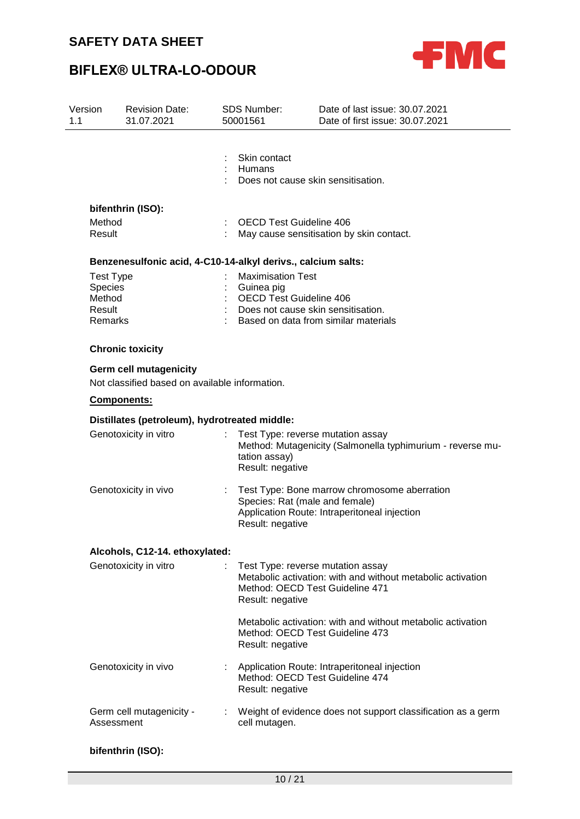



| Version<br>1.1                                                    | <b>Revision Date:</b><br>31.07.2021                                             | <b>SDS Number:</b><br>50001561          | Date of last issue: 30.07.2021<br>Date of first issue: 30.07.2021                                                                   |
|-------------------------------------------------------------------|---------------------------------------------------------------------------------|-----------------------------------------|-------------------------------------------------------------------------------------------------------------------------------------|
|                                                                   |                                                                                 | Skin contact<br>Humans                  | Does not cause skin sensitisation.                                                                                                  |
|                                                                   | bifenthrin (ISO):                                                               |                                         |                                                                                                                                     |
| Method<br>Result                                                  |                                                                                 |                                         | <b>OECD Test Guideline 406</b><br>May cause sensitisation by skin contact.                                                          |
|                                                                   | Benzenesulfonic acid, 4-C10-14-alkyl derivs., calcium salts:                    |                                         |                                                                                                                                     |
| <b>Test Type</b><br><b>Species</b><br>Method<br>Result<br>Remarks |                                                                                 | <b>Maximisation Test</b><br>Guinea pig  | OECD Test Guideline 406<br>Does not cause skin sensitisation.<br>Based on data from similar materials                               |
|                                                                   | <b>Chronic toxicity</b>                                                         |                                         |                                                                                                                                     |
|                                                                   | <b>Germ cell mutagenicity</b><br>Not classified based on available information. |                                         |                                                                                                                                     |
|                                                                   | <b>Components:</b>                                                              |                                         |                                                                                                                                     |
|                                                                   | Distillates (petroleum), hydrotreated middle:                                   |                                         |                                                                                                                                     |
|                                                                   | Genotoxicity in vitro                                                           | t.<br>tation assay)<br>Result: negative | Test Type: reverse mutation assay<br>Method: Mutagenicity (Salmonella typhimurium - reverse mu-                                     |
|                                                                   | Genotoxicity in vivo                                                            | Result: negative                        | Test Type: Bone marrow chromosome aberration<br>Species: Rat (male and female)<br>Application Route: Intraperitoneal injection      |
|                                                                   | Alcohols, C12-14. ethoxylated:                                                  |                                         |                                                                                                                                     |
|                                                                   | Genotoxicity in vitro                                                           | Result: negative                        | Test Type: reverse mutation assay<br>Metabolic activation: with and without metabolic activation<br>Method: OECD Test Guideline 471 |
|                                                                   |                                                                                 | Result: negative                        | Metabolic activation: with and without metabolic activation<br>Method: OECD Test Guideline 473                                      |
|                                                                   | Genotoxicity in vivo                                                            | Result: negative                        | Application Route: Intraperitoneal injection<br>Method: OECD Test Guideline 474                                                     |
|                                                                   | Germ cell mutagenicity -<br>Assessment                                          | cell mutagen.                           | : Weight of evidence does not support classification as a germ                                                                      |
|                                                                   | bifenthrin (ISO):                                                               |                                         |                                                                                                                                     |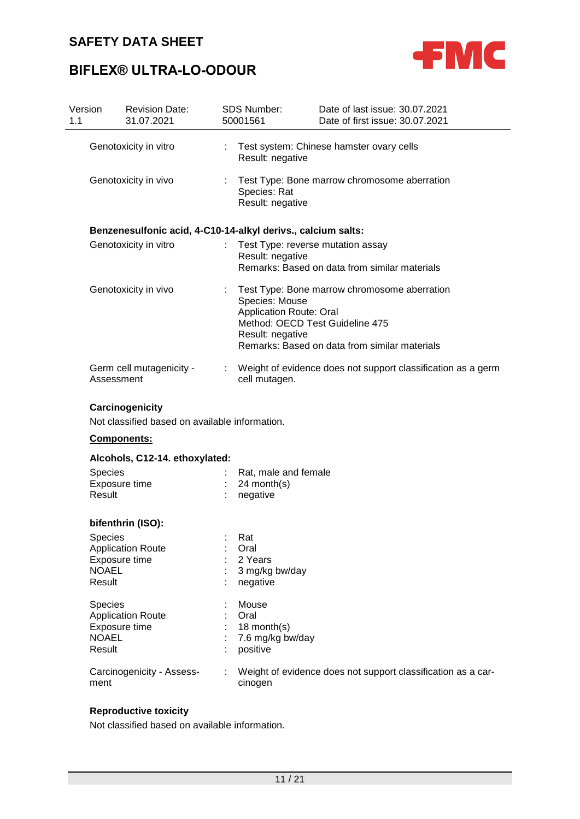

# **BIFLEX® ULTRA-LO-ODOUR**

| Version<br>1.1 |                                               | <b>Revision Date:</b><br>31.07.2021                               |                                                                                                                                                                | <b>SDS Number:</b><br>50001561                               | Date of last issue: 30.07.2021<br>Date of first issue: 30.07.2021 |
|----------------|-----------------------------------------------|-------------------------------------------------------------------|----------------------------------------------------------------------------------------------------------------------------------------------------------------|--------------------------------------------------------------|-------------------------------------------------------------------|
|                |                                               | Genotoxicity in vitro                                             |                                                                                                                                                                | Result: negative                                             | Test system: Chinese hamster ovary cells                          |
|                |                                               | Genotoxicity in vivo                                              |                                                                                                                                                                | Species: Rat<br>Result: negative                             | Test Type: Bone marrow chromosome aberration                      |
|                |                                               | Benzenesulfonic acid, 4-C10-14-alkyl derivs., calcium salts:      |                                                                                                                                                                |                                                              |                                                                   |
|                |                                               | Genotoxicity in vitro                                             |                                                                                                                                                                | Test Type: reverse mutation assay<br>Result: negative        | Remarks: Based on data from similar materials                     |
|                |                                               | Genotoxicity in vivo                                              | ÷.<br>Species: Mouse<br><b>Application Route: Oral</b><br>Method: OECD Test Guideline 475<br>Result: negative<br>Remarks: Based on data from similar materials |                                                              | Test Type: Bone marrow chromosome aberration                      |
|                | Assessment                                    | Germ cell mutagenicity -                                          |                                                                                                                                                                | cell mutagen.                                                | Weight of evidence does not support classification as a germ      |
|                |                                               | Carcinogenicity<br>Not classified based on available information. |                                                                                                                                                                |                                                              |                                                                   |
|                | Components:<br>Alcohols, C12-14. ethoxylated: |                                                                   |                                                                                                                                                                |                                                              |                                                                   |
|                |                                               |                                                                   |                                                                                                                                                                |                                                              |                                                                   |
|                | Species<br>Result                             | Exposure time                                                     |                                                                                                                                                                | Rat, male and female<br>24 month(s)<br>negative              |                                                                   |
|                |                                               | bifenthrin (ISO):                                                 |                                                                                                                                                                |                                                              |                                                                   |
|                | Species<br><b>NOAEL</b><br>Result             | <b>Application Route</b><br>Exposure time                         |                                                                                                                                                                | Rat<br>Oral<br>2 Years<br>3 mg/kg bw/day<br>negative         |                                                                   |
|                | <b>Species</b><br><b>NOAEL</b><br>Result      | <b>Application Route</b><br>Exposure time                         |                                                                                                                                                                | Mouse<br>Oral<br>18 month(s)<br>7.6 mg/kg bw/day<br>positive |                                                                   |
|                | ment                                          | Carcinogenicity - Assess-                                         |                                                                                                                                                                | cinogen                                                      | Weight of evidence does not support classification as a car-      |

## **Reproductive toxicity**

Not classified based on available information.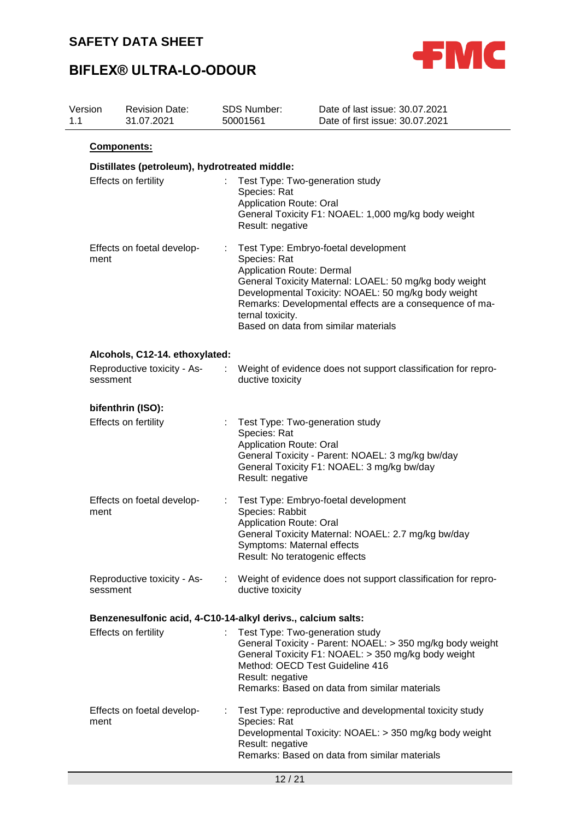

| Version<br>1.1 |             | <b>Revision Date:</b><br>31.07.2021                          |                                                                                                                                                                                                                                                                                                                                                                                                                                 | <b>SDS Number:</b><br>50001561                                                                                                                                                                                                                                                                                                   | Date of last issue: 30.07.2021<br>Date of first issue: 30.07.2021 |
|----------------|-------------|--------------------------------------------------------------|---------------------------------------------------------------------------------------------------------------------------------------------------------------------------------------------------------------------------------------------------------------------------------------------------------------------------------------------------------------------------------------------------------------------------------|----------------------------------------------------------------------------------------------------------------------------------------------------------------------------------------------------------------------------------------------------------------------------------------------------------------------------------|-------------------------------------------------------------------|
|                | Components: |                                                              |                                                                                                                                                                                                                                                                                                                                                                                                                                 |                                                                                                                                                                                                                                                                                                                                  |                                                                   |
|                |             | Distillates (petroleum), hydrotreated middle:                |                                                                                                                                                                                                                                                                                                                                                                                                                                 |                                                                                                                                                                                                                                                                                                                                  |                                                                   |
|                |             | Effects on fertility                                         | Test Type: Two-generation study<br>t.<br>Species: Rat<br><b>Application Route: Oral</b><br>General Toxicity F1: NOAEL: 1,000 mg/kg body weight<br>Result: negative                                                                                                                                                                                                                                                              |                                                                                                                                                                                                                                                                                                                                  |                                                                   |
|                | ment        | Effects on foetal develop-                                   |                                                                                                                                                                                                                                                                                                                                                                                                                                 | Test Type: Embryo-foetal development<br>Species: Rat<br><b>Application Route: Dermal</b><br>General Toxicity Maternal: LOAEL: 50 mg/kg body weight<br>Developmental Toxicity: NOAEL: 50 mg/kg body weight<br>Remarks: Developmental effects are a consequence of ma-<br>ternal toxicity.<br>Based on data from similar materials |                                                                   |
|                |             | Alcohols, C12-14. ethoxylated:                               |                                                                                                                                                                                                                                                                                                                                                                                                                                 |                                                                                                                                                                                                                                                                                                                                  |                                                                   |
|                | sessment    | Reproductive toxicity - As-                                  | ductive toxicity                                                                                                                                                                                                                                                                                                                                                                                                                |                                                                                                                                                                                                                                                                                                                                  | Weight of evidence does not support classification for repro-     |
|                |             | bifenthrin (ISO):                                            |                                                                                                                                                                                                                                                                                                                                                                                                                                 |                                                                                                                                                                                                                                                                                                                                  |                                                                   |
|                |             | Effects on fertility                                         | Test Type: Two-generation study<br>Species: Rat<br><b>Application Route: Oral</b><br>General Toxicity - Parent: NOAEL: 3 mg/kg bw/day<br>General Toxicity F1: NOAEL: 3 mg/kg bw/day<br>Result: negative<br>Test Type: Embryo-foetal development<br>÷<br>Species: Rabbit<br><b>Application Route: Oral</b><br>General Toxicity Maternal: NOAEL: 2.7 mg/kg bw/day<br>Symptoms: Maternal effects<br>Result: No teratogenic effects |                                                                                                                                                                                                                                                                                                                                  |                                                                   |
|                | ment        | Effects on foetal develop-                                   |                                                                                                                                                                                                                                                                                                                                                                                                                                 |                                                                                                                                                                                                                                                                                                                                  |                                                                   |
|                | sessment    | Reproductive toxicity - As-                                  |                                                                                                                                                                                                                                                                                                                                                                                                                                 | ductive toxicity                                                                                                                                                                                                                                                                                                                 | : Weight of evidence does not support classification for repro-   |
|                |             | Benzenesulfonic acid, 4-C10-14-alkyl derivs., calcium salts: |                                                                                                                                                                                                                                                                                                                                                                                                                                 |                                                                                                                                                                                                                                                                                                                                  |                                                                   |
|                |             | Effects on fertility                                         | Test Type: Two-generation study<br>General Toxicity - Parent: NOAEL: > 350 mg/kg body weight<br>General Toxicity F1: NOAEL: > 350 mg/kg body weight<br>Method: OECD Test Guideline 416<br>Result: negative<br>Remarks: Based on data from similar materials                                                                                                                                                                     |                                                                                                                                                                                                                                                                                                                                  |                                                                   |
|                | ment        | Effects on foetal develop-                                   |                                                                                                                                                                                                                                                                                                                                                                                                                                 | Test Type: reproductive and developmental toxicity study<br>Species: Rat<br>Developmental Toxicity: NOAEL: > 350 mg/kg body weight<br>Result: negative<br>Remarks: Based on data from similar materials                                                                                                                          |                                                                   |
|                |             |                                                              |                                                                                                                                                                                                                                                                                                                                                                                                                                 | 12/21                                                                                                                                                                                                                                                                                                                            |                                                                   |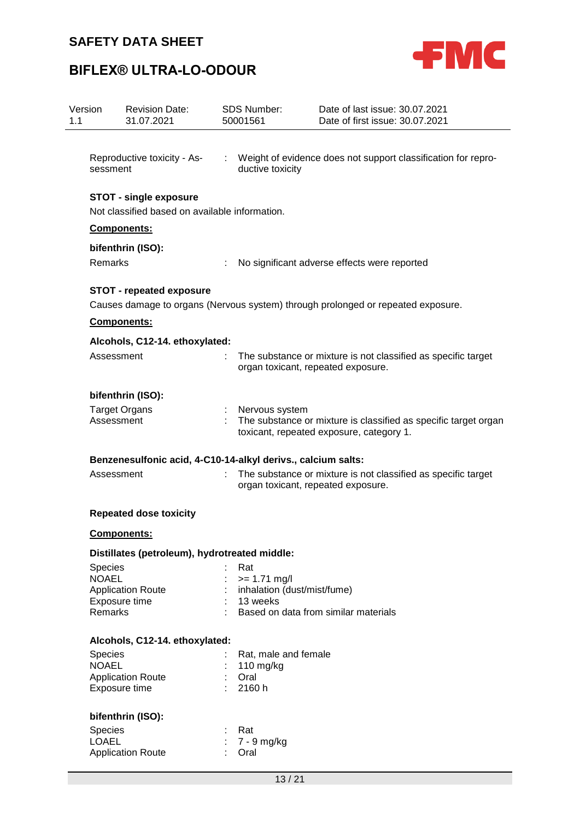

| Version<br>1.1 | <b>Revision Date:</b><br>31.07.2021                          | <b>SDS Number:</b><br>50001561          | Date of last issue: 30.07.2021<br>Date of first issue: 30.07.2021                                           |
|----------------|--------------------------------------------------------------|-----------------------------------------|-------------------------------------------------------------------------------------------------------------|
| sessment       | Reproductive toxicity - As-                                  | ductive toxicity                        | : Weight of evidence does not support classification for repro-                                             |
|                | <b>STOT - single exposure</b>                                |                                         |                                                                                                             |
|                | Not classified based on available information.               |                                         |                                                                                                             |
|                | Components:                                                  |                                         |                                                                                                             |
| Remarks        | bifenthrin (ISO):                                            |                                         | No significant adverse effects were reported                                                                |
|                | <b>STOT - repeated exposure</b>                              |                                         | Causes damage to organs (Nervous system) through prolonged or repeated exposure.                            |
|                | Components:                                                  |                                         |                                                                                                             |
|                | Alcohols, C12-14. ethoxylated:                               |                                         |                                                                                                             |
|                | Assessment                                                   | ÷                                       | The substance or mixture is not classified as specific target<br>organ toxicant, repeated exposure.         |
|                | bifenthrin (ISO):                                            |                                         |                                                                                                             |
|                | <b>Target Organs</b><br>Assessment                           | Nervous system                          | The substance or mixture is classified as specific target organ<br>toxicant, repeated exposure, category 1. |
|                | Benzenesulfonic acid, 4-C10-14-alkyl derivs., calcium salts: |                                         |                                                                                                             |
|                | Assessment                                                   |                                         | The substance or mixture is not classified as specific target<br>organ toxicant, repeated exposure.         |
|                | <b>Repeated dose toxicity</b>                                |                                         |                                                                                                             |
|                | Components:                                                  |                                         |                                                                                                             |
|                | Distillates (petroleum), hydrotreated middle:                |                                         |                                                                                                             |
| <b>Species</b> |                                                              | Rat                                     |                                                                                                             |
| <b>NOAEL</b>   |                                                              | $>= 1.71$ mg/l                          |                                                                                                             |
|                | <b>Application Route</b><br>Exposure time                    | inhalation (dust/mist/fume)<br>13 weeks |                                                                                                             |
| Remarks        |                                                              |                                         | Based on data from similar materials                                                                        |
|                | Alcohols, C12-14. ethoxylated:                               |                                         |                                                                                                             |
| Species        |                                                              | Rat, male and female                    |                                                                                                             |
| <b>NOAEL</b>   |                                                              | 110 mg/kg                               |                                                                                                             |
|                | <b>Application Route</b><br>Exposure time                    | Oral<br>2160 h                          |                                                                                                             |
|                | bifenthrin (ISO):                                            |                                         |                                                                                                             |
| Species        |                                                              | Rat                                     |                                                                                                             |
| <b>LOAEL</b>   |                                                              | 7 - 9 mg/kg                             |                                                                                                             |
|                | <b>Application Route</b>                                     | Oral                                    |                                                                                                             |
|                |                                                              | 13/21                                   |                                                                                                             |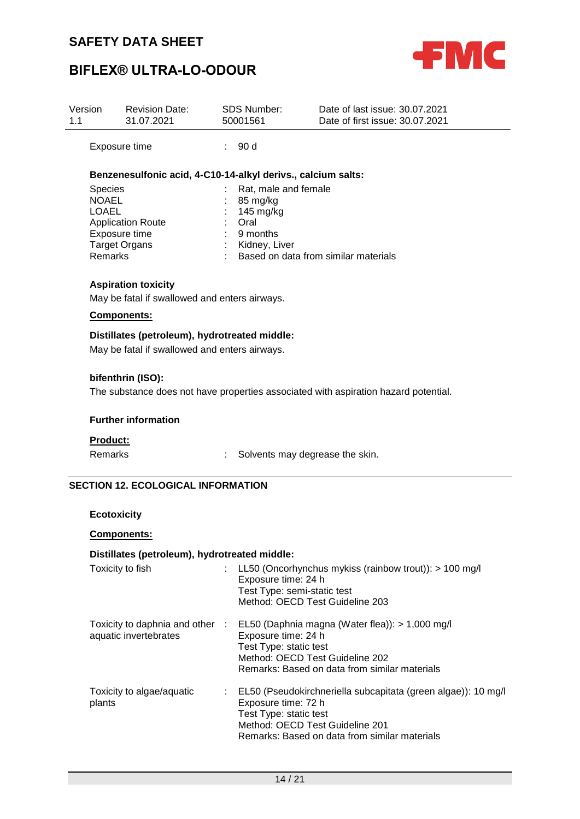

# **BIFLEX® ULTRA-LO-ODOUR**

| Version<br>1.1 | <b>Revision Date:</b><br>31.07.2021                                                                                            | <b>SDS Number:</b><br>50001561                                                       | Date of last issue: 30.07.2021<br>Date of first issue: 30.07.2021                   |
|----------------|--------------------------------------------------------------------------------------------------------------------------------|--------------------------------------------------------------------------------------|-------------------------------------------------------------------------------------|
|                | Exposure time                                                                                                                  | 90d                                                                                  |                                                                                     |
|                | Benzenesulfonic acid, 4-C10-14-alkyl derivs., calcium salts:                                                                   |                                                                                      |                                                                                     |
|                | <b>Species</b><br><b>NOAEL</b><br><b>LOAEL</b><br><b>Application Route</b><br>Exposure time<br><b>Target Organs</b><br>Remarks | Rat, male and female<br>85 mg/kg<br>145 mg/kg<br>Oral<br>9 months<br>: Kidney, Liver | Based on data from similar materials                                                |
|                | <b>Aspiration toxicity</b><br>May be fatal if swallowed and enters airways.                                                    |                                                                                      |                                                                                     |
|                | <b>Components:</b><br>Distillates (petroleum), hydrotreated middle:<br>May be fatal if swallowed and enters airways.           |                                                                                      |                                                                                     |
|                | bifenthrin (ISO):                                                                                                              |                                                                                      | The substance does not have properties associated with aspiration hazard potential. |
|                | <b>Further information</b>                                                                                                     |                                                                                      |                                                                                     |
|                | <b>Product:</b><br>Remarks                                                                                                     |                                                                                      | Solvents may degrease the skin.                                                     |
|                | <b>SECTION 12. ECOLOGICAL INFORMATION</b>                                                                                      |                                                                                      |                                                                                     |

**Ecotoxicity**

### **Components:**

### **Distillates (petroleum), hydrotreated middle:**

| Toxicity to fish                                         | LL50 (Oncorhynchus mykiss (rainbow trout)): $> 100$ mg/l<br>Exposure time: 24 h<br>Test Type: semi-static test<br>Method: OECD Test Guideline 203                                                  |
|----------------------------------------------------------|----------------------------------------------------------------------------------------------------------------------------------------------------------------------------------------------------|
| Toxicity to daphnia and other :<br>aquatic invertebrates | EL50 (Daphnia magna (Water flea)): > 1,000 mg/l<br>Exposure time: 24 h<br>Test Type: static test<br>Method: OECD Test Guideline 202<br>Remarks: Based on data from similar materials               |
| Toxicity to algae/aquatic<br>plants                      | EL50 (Pseudokirchneriella subcapitata (green algae)): 10 mg/l<br>Exposure time: 72 h<br>Test Type: static test<br>Method: OECD Test Guideline 201<br>Remarks: Based on data from similar materials |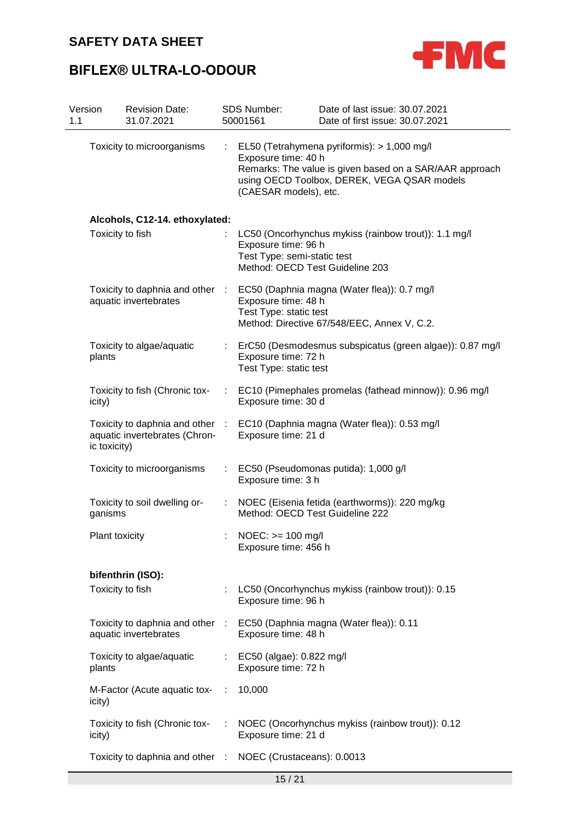

| Version<br>1.1 | <b>Revision Date:</b><br>31.07.2021                                                              |      | <b>SDS Number:</b><br>50001561                                                        | Date of last issue: 30.07.2021<br>Date of first issue: 30.07.2021                                                                                     |
|----------------|--------------------------------------------------------------------------------------------------|------|---------------------------------------------------------------------------------------|-------------------------------------------------------------------------------------------------------------------------------------------------------|
|                | Toxicity to microorganisms                                                                       |      | Exposure time: 40 h<br>(CAESAR models), etc.                                          | EL50 (Tetrahymena pyriformis): > 1,000 mg/l<br>Remarks: The value is given based on a SAR/AAR approach<br>using OECD Toolbox, DEREK, VEGA QSAR models |
|                | Alcohols, C12-14. ethoxylated:                                                                   |      |                                                                                       |                                                                                                                                                       |
|                | Toxicity to fish                                                                                 |      | Exposure time: 96 h<br>Test Type: semi-static test<br>Method: OECD Test Guideline 203 | LC50 (Oncorhynchus mykiss (rainbow trout)): 1.1 mg/l                                                                                                  |
|                | Toxicity to daphnia and other :<br>aquatic invertebrates                                         |      | Exposure time: 48 h<br>Test Type: static test                                         | EC50 (Daphnia magna (Water flea)): 0.7 mg/l<br>Method: Directive 67/548/EEC, Annex V, C.2.                                                            |
|                | Toxicity to algae/aquatic<br>plants                                                              |      | Exposure time: 72 h<br>Test Type: static test                                         | ErC50 (Desmodesmus subspicatus (green algae)): 0.87 mg/l                                                                                              |
|                | Toxicity to fish (Chronic tox-<br>icity)                                                         | t.   | Exposure time: 30 d                                                                   | EC10 (Pimephales promelas (fathead minnow)): 0.96 mg/l                                                                                                |
|                | Toxicity to daphnia and other :<br>aquatic invertebrates (Chron-<br>ic toxicity)                 |      | Exposure time: 21 d                                                                   | EC10 (Daphnia magna (Water flea)): 0.53 mg/l                                                                                                          |
|                | Toxicity to microorganisms                                                                       |      | Exposure time: 3 h                                                                    | EC50 (Pseudomonas putida): 1,000 g/l                                                                                                                  |
|                | Toxicity to soil dwelling or-<br>ganisms                                                         | ÷.   | Method: OECD Test Guideline 222                                                       | NOEC (Eisenia fetida (earthworms)): 220 mg/kg                                                                                                         |
|                | Plant toxicity                                                                                   |      | $NOEC: >= 100 mg/l$<br>Exposure time: 456 h                                           |                                                                                                                                                       |
|                | bifenthrin (ISO):                                                                                |      |                                                                                       |                                                                                                                                                       |
|                | Toxicity to fish                                                                                 |      | Exposure time: 96 h                                                                   | : LC50 (Oncorhynchus mykiss (rainbow trout)): 0.15                                                                                                    |
|                | Toxicity to daphnia and other : EC50 (Daphnia magna (Water flea)): 0.11<br>aquatic invertebrates |      | Exposure time: 48 h                                                                   |                                                                                                                                                       |
|                | Toxicity to algae/aquatic<br>plants                                                              |      | : EC50 (algae): 0.822 mg/l<br>Exposure time: 72 h                                     |                                                                                                                                                       |
|                | M-Factor (Acute aquatic tox-<br>icity)                                                           | - 11 | 10,000                                                                                |                                                                                                                                                       |
|                | Toxicity to fish (Chronic tox-<br>icity)                                                         | ÷    | Exposure time: 21 d                                                                   | NOEC (Oncorhynchus mykiss (rainbow trout)): 0.12                                                                                                      |
|                | Toxicity to daphnia and other :                                                                  |      | NOEC (Crustaceans): 0.0013                                                            |                                                                                                                                                       |
|                |                                                                                                  |      | 15/21                                                                                 |                                                                                                                                                       |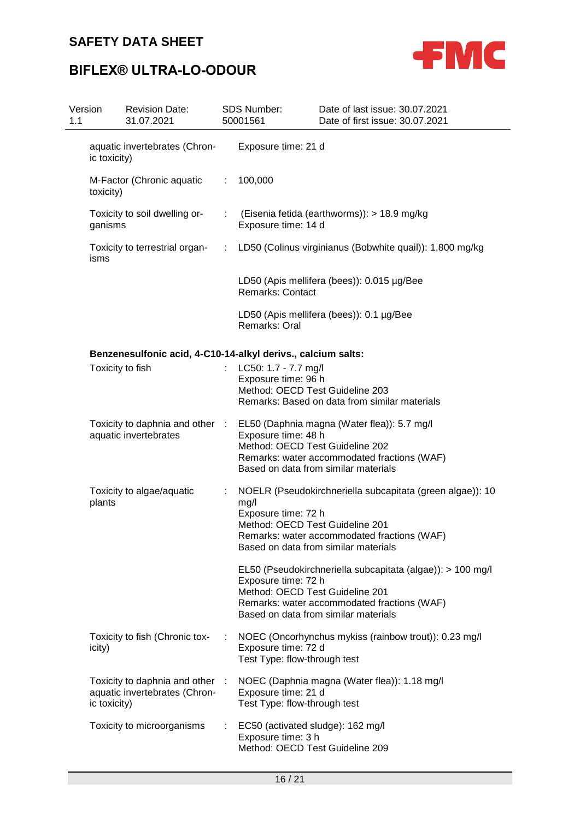

| Version<br>1.1 | <b>Revision Date:</b><br>31.07.2021                              |    | <b>SDS Number:</b><br>50001561                                                             | Date of last issue: 30.07.2021<br>Date of first issue: 30.07.2021                                                                                 |
|----------------|------------------------------------------------------------------|----|--------------------------------------------------------------------------------------------|---------------------------------------------------------------------------------------------------------------------------------------------------|
| ic toxicity)   | aquatic invertebrates (Chron-                                    |    | Exposure time: 21 d                                                                        |                                                                                                                                                   |
| toxicity)      | M-Factor (Chronic aquatic                                        | ÷. | 100,000                                                                                    |                                                                                                                                                   |
| ganisms        | Toxicity to soil dwelling or-                                    |    | Exposure time: 14 d                                                                        | (Eisenia fetida (earthworms)): > 18.9 mg/kg                                                                                                       |
| isms           | Toxicity to terrestrial organ-                                   | ÷. |                                                                                            | LD50 (Colinus virginianus (Bobwhite quail)): 1,800 mg/kg                                                                                          |
|                |                                                                  |    | <b>Remarks: Contact</b>                                                                    | LD50 (Apis mellifera (bees)): 0.015 µg/Bee                                                                                                        |
|                |                                                                  |    | Remarks: Oral                                                                              | LD50 (Apis mellifera (bees)): 0.1 µg/Bee                                                                                                          |
|                | Benzenesulfonic acid, 4-C10-14-alkyl derivs., calcium salts:     |    |                                                                                            |                                                                                                                                                   |
|                | Toxicity to fish                                                 |    | LC50: 1.7 - 7.7 mg/l<br>Exposure time: 96 h<br>Method: OECD Test Guideline 203             | Remarks: Based on data from similar materials                                                                                                     |
|                | Toxicity to daphnia and other :<br>aquatic invertebrates         |    | Exposure time: 48 h<br>Method: OECD Test Guideline 202                                     | EL50 (Daphnia magna (Water flea)): 5.7 mg/l<br>Remarks: water accommodated fractions (WAF)<br>Based on data from similar materials                |
| plants         | Toxicity to algae/aquatic                                        | ÷. | mg/l<br>Exposure time: 72 h<br>Method: OECD Test Guideline 201                             | NOELR (Pseudokirchneriella subcapitata (green algae)): 10<br>Remarks: water accommodated fractions (WAF)<br>Based on data from similar materials  |
|                |                                                                  |    | Exposure time: 72 h<br>Method: OECD Test Guideline 201                                     | EL50 (Pseudokirchneriella subcapitata (algae)): > 100 mg/l<br>Remarks: water accommodated fractions (WAF)<br>Based on data from similar materials |
| icity)         | Toxicity to fish (Chronic tox-                                   |    | Exposure time: 72 d<br>Test Type: flow-through test                                        | NOEC (Oncorhynchus mykiss (rainbow trout)): 0.23 mg/l                                                                                             |
| ic toxicity)   | Toxicity to daphnia and other :<br>aquatic invertebrates (Chron- |    | Exposure time: 21 d<br>Test Type: flow-through test                                        | NOEC (Daphnia magna (Water flea)): 1.18 mg/l                                                                                                      |
|                | Toxicity to microorganisms                                       |    | EC50 (activated sludge): 162 mg/l<br>Exposure time: 3 h<br>Method: OECD Test Guideline 209 |                                                                                                                                                   |
|                |                                                                  |    |                                                                                            |                                                                                                                                                   |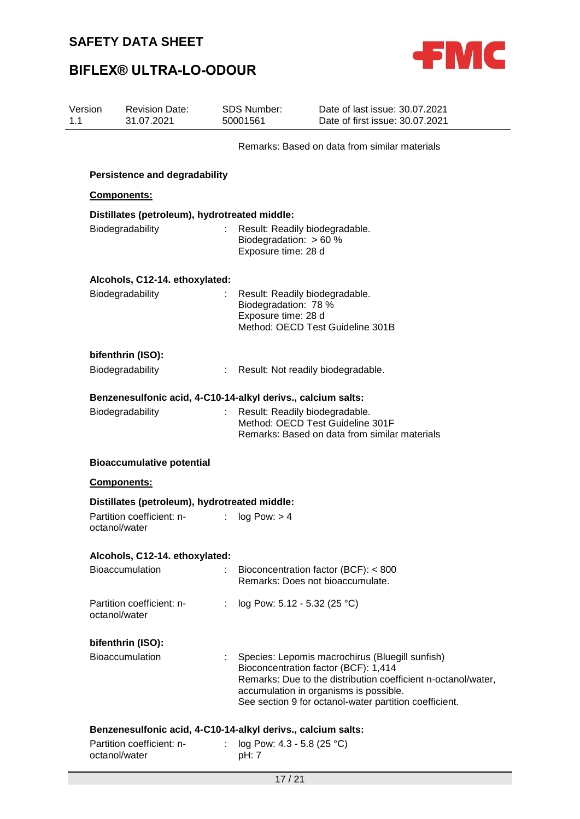

| Version<br>1.1 |                                  | <b>Revision Date:</b><br>31.07.2021                          |                           | <b>SDS Number:</b><br>50001561                                                     | Date of last issue: 30.07.2021<br>Date of first issue: 30.07.2021                                                                                                                                                                                              |  |  |  |
|----------------|----------------------------------|--------------------------------------------------------------|---------------------------|------------------------------------------------------------------------------------|----------------------------------------------------------------------------------------------------------------------------------------------------------------------------------------------------------------------------------------------------------------|--|--|--|
|                |                                  |                                                              |                           |                                                                                    | Remarks: Based on data from similar materials                                                                                                                                                                                                                  |  |  |  |
|                |                                  | <b>Persistence and degradability</b>                         |                           |                                                                                    |                                                                                                                                                                                                                                                                |  |  |  |
|                | Components:                      |                                                              |                           |                                                                                    |                                                                                                                                                                                                                                                                |  |  |  |
|                |                                  | Distillates (petroleum), hydrotreated middle:                |                           |                                                                                    |                                                                                                                                                                                                                                                                |  |  |  |
|                | Biodegradability                 |                                                              |                           | Result: Readily biodegradable.<br>Biodegradation: $> 60 \%$<br>Exposure time: 28 d |                                                                                                                                                                                                                                                                |  |  |  |
|                |                                  | Alcohols, C12-14. ethoxylated:                               |                           |                                                                                    |                                                                                                                                                                                                                                                                |  |  |  |
|                |                                  | Biodegradability                                             |                           | Result: Readily biodegradable.<br>Biodegradation: 78 %<br>Exposure time: 28 d      | Method: OECD Test Guideline 301B                                                                                                                                                                                                                               |  |  |  |
|                |                                  | bifenthrin (ISO):                                            |                           |                                                                                    |                                                                                                                                                                                                                                                                |  |  |  |
|                |                                  | Biodegradability                                             |                           | : Result: Not readily biodegradable.                                               |                                                                                                                                                                                                                                                                |  |  |  |
|                |                                  | Benzenesulfonic acid, 4-C10-14-alkyl derivs., calcium salts: |                           |                                                                                    |                                                                                                                                                                                                                                                                |  |  |  |
|                |                                  | Biodegradability                                             |                           | Result: Readily biodegradable.                                                     | Method: OECD Test Guideline 301F<br>Remarks: Based on data from similar materials                                                                                                                                                                              |  |  |  |
|                | <b>Bioaccumulative potential</b> |                                                              |                           |                                                                                    |                                                                                                                                                                                                                                                                |  |  |  |
|                |                                  | Components:                                                  |                           |                                                                                    |                                                                                                                                                                                                                                                                |  |  |  |
|                |                                  | Distillates (petroleum), hydrotreated middle:                |                           |                                                                                    |                                                                                                                                                                                                                                                                |  |  |  |
|                | octanol/water                    | Partition coefficient: n-                                    | $\mathbb{R}^{\mathbb{Z}}$ | log Pow: > 4                                                                       |                                                                                                                                                                                                                                                                |  |  |  |
|                |                                  | Alcohols, C12-14. ethoxylated:                               |                           |                                                                                    |                                                                                                                                                                                                                                                                |  |  |  |
|                |                                  | Bioaccumulation                                              |                           |                                                                                    | Bioconcentration factor (BCF): < 800<br>Remarks: Does not bioaccumulate.                                                                                                                                                                                       |  |  |  |
|                | octanol/water                    | Partition coefficient: n-                                    |                           | : $log Pow: 5.12 - 5.32 (25 °C)$                                                   |                                                                                                                                                                                                                                                                |  |  |  |
|                |                                  | bifenthrin (ISO):                                            |                           |                                                                                    |                                                                                                                                                                                                                                                                |  |  |  |
|                |                                  | <b>Bioaccumulation</b>                                       |                           |                                                                                    | : Species: Lepomis macrochirus (Bluegill sunfish)<br>Bioconcentration factor (BCF): 1,414<br>Remarks: Due to the distribution coefficient n-octanol/water,<br>accumulation in organisms is possible.<br>See section 9 for octanol-water partition coefficient. |  |  |  |
|                |                                  | Benzenesulfonic acid, 4-C10-14-alkyl derivs., calcium salts: |                           |                                                                                    |                                                                                                                                                                                                                                                                |  |  |  |
|                | octanol/water                    | Partition coefficient: n-                                    | t.                        | log Pow: $4.3 - 5.8$ (25 °C)<br>pH: 7                                              |                                                                                                                                                                                                                                                                |  |  |  |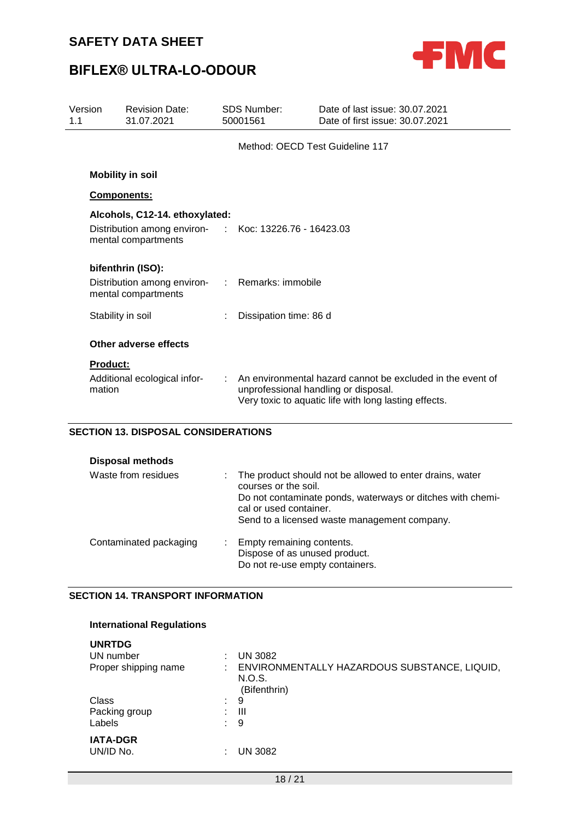

| Version<br>1.1            | <b>Revision Date:</b><br>31.07.2021                                                                             | SDS Number:<br>50001561 |                        | Date of last issue: 30.07.2021<br>Date of first issue: 30.07.2021                                                                                           |  |
|---------------------------|-----------------------------------------------------------------------------------------------------------------|-------------------------|------------------------|-------------------------------------------------------------------------------------------------------------------------------------------------------------|--|
|                           |                                                                                                                 |                         |                        | Method: OECD Test Guideline 117                                                                                                                             |  |
|                           | <b>Mobility in soil</b>                                                                                         |                         |                        |                                                                                                                                                             |  |
|                           | Components:                                                                                                     |                         |                        |                                                                                                                                                             |  |
|                           | Alcohols, C12-14. ethoxylated:<br>Distribution among environ- : Koc: 13226.76 - 16423.03<br>mental compartments |                         |                        |                                                                                                                                                             |  |
|                           | bifenthrin (ISO):<br>Distribution among environ- : Remarks: immobile<br>mental compartments                     |                         |                        |                                                                                                                                                             |  |
|                           | Stability in soil                                                                                               |                         | Dissipation time: 86 d |                                                                                                                                                             |  |
|                           | Other adverse effects                                                                                           |                         |                        |                                                                                                                                                             |  |
| <b>Product:</b><br>mation | Additional ecological infor-                                                                                    |                         |                        | An environmental hazard cannot be excluded in the event of<br>unprofessional handling or disposal.<br>Very toxic to aquatic life with long lasting effects. |  |

### **SECTION 13. DISPOSAL CONSIDERATIONS**

| <b>Disposal methods</b> |                                                                                                                                                                                                                            |
|-------------------------|----------------------------------------------------------------------------------------------------------------------------------------------------------------------------------------------------------------------------|
| Waste from residues     | : The product should not be allowed to enter drains, water<br>courses or the soil.<br>Do not contaminate ponds, waterways or ditches with chemi-<br>cal or used container.<br>Send to a licensed waste management company. |
| Contaminated packaging  | : Empty remaining contents.<br>Dispose of as unused product.<br>Do not re-use empty containers.                                                                                                                            |

### **SECTION 14. TRANSPORT INFORMATION**

| <b>International Regulations</b>                   |                               |                                                                                          |
|----------------------------------------------------|-------------------------------|------------------------------------------------------------------------------------------|
| <b>UNRTDG</b><br>UN number<br>Proper shipping name |                               | <b>UN 3082</b><br>ENVIRONMENTALLY HAZARDOUS SUBSTANCE, LIQUID,<br>N.O.S.<br>(Bifenthrin) |
| Class<br>Packing group<br>Labels                   | $\bullet$<br>$\sim$<br>$\sim$ | 9<br>Ш<br>9                                                                              |
| <b>IATA-DGR</b><br>UN/ID No.                       |                               | UN 3082                                                                                  |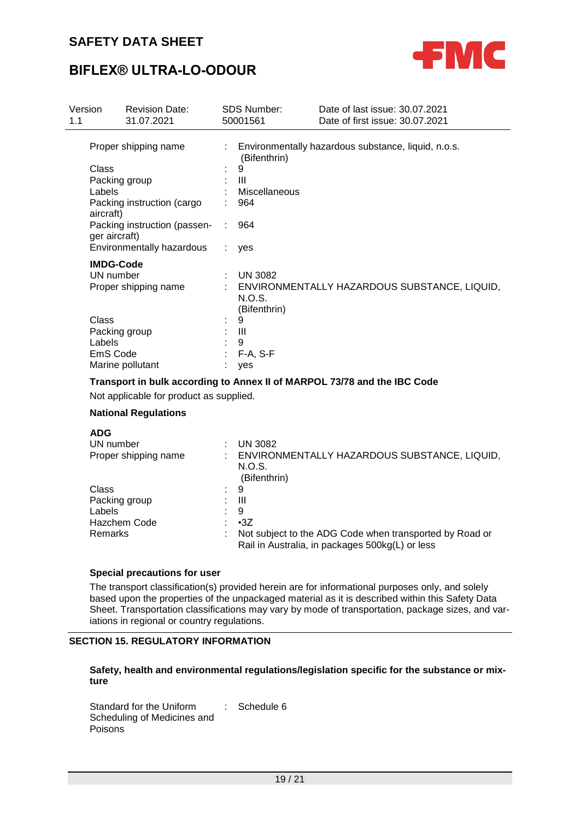

## **BIFLEX® ULTRA-LO-ODOUR**

| Version<br>1.1 |                  | <b>Revision Date:</b><br>31.07.2021 |    | <b>SDS Number:</b><br>50001561 | Date of last issue: 30.07.2021<br>Date of first issue: 30.07.2021        |
|----------------|------------------|-------------------------------------|----|--------------------------------|--------------------------------------------------------------------------|
|                |                  | Proper shipping name                |    | (Bifenthrin)                   | : Environmentally hazardous substance, liquid, n.o.s.                    |
|                | Class            |                                     |    | 9                              |                                                                          |
|                |                  | Packing group                       |    | Ш                              |                                                                          |
|                | Labels           |                                     |    | <b>Miscellaneous</b>           |                                                                          |
|                | aircraft)        | Packing instruction (cargo          |    | 964                            |                                                                          |
|                | ger aircraft)    | Packing instruction (passen-        | t. | 964                            |                                                                          |
|                |                  | Environmentally hazardous           |    | yes                            |                                                                          |
|                | <b>IMDG-Code</b> |                                     |    |                                |                                                                          |
|                | UN number        |                                     | ÷  | <b>UN 3082</b>                 |                                                                          |
|                |                  | Proper shipping name                |    |                                | : ENVIRONMENTALLY HAZARDOUS SUBSTANCE, LIQUID,                           |
|                |                  |                                     |    | N.O.S.                         |                                                                          |
|                |                  |                                     |    | (Bifenthrin)                   |                                                                          |
|                | Class            |                                     | ÷  | 9                              |                                                                          |
|                |                  | Packing group                       |    | : III                          |                                                                          |
|                | Labels           |                                     |    | 9                              |                                                                          |
|                | EmS Code         |                                     |    | F-A, S-F                       |                                                                          |
|                |                  | Marine pollutant                    |    | yes                            |                                                                          |
|                |                  |                                     |    |                                | Transport in bulk according to Annex II of MARPOL 73/78 and the IBC Code |

Not applicable for product as supplied.

### **National Regulations**

| <b>ADG</b>           |                                                                                                            |
|----------------------|------------------------------------------------------------------------------------------------------------|
| UN number            | <b>UN 3082</b>                                                                                             |
| Proper shipping name | ENVIRONMENTALLY HAZARDOUS SUBSTANCE, LIQUID,<br>N.O.S.<br>(Bifenthrin)                                     |
| Class                | 9                                                                                                          |
| Packing group        | Ш                                                                                                          |
| Labels               | 9                                                                                                          |
| <b>Hazchem Code</b>  | $\cdot$ 3Z                                                                                                 |
| Remarks              | Not subject to the ADG Code when transported by Road or<br>Rail in Australia, in packages 500kg(L) or less |

#### **Special precautions for user**

The transport classification(s) provided herein are for informational purposes only, and solely based upon the properties of the unpackaged material as it is described within this Safety Data Sheet. Transportation classifications may vary by mode of transportation, package sizes, and variations in regional or country regulations.

#### **SECTION 15. REGULATORY INFORMATION**

### **Safety, health and environmental regulations/legislation specific for the substance or mixture**

Standard for the Uniform Scheduling of Medicines and Poisons : Schedule 6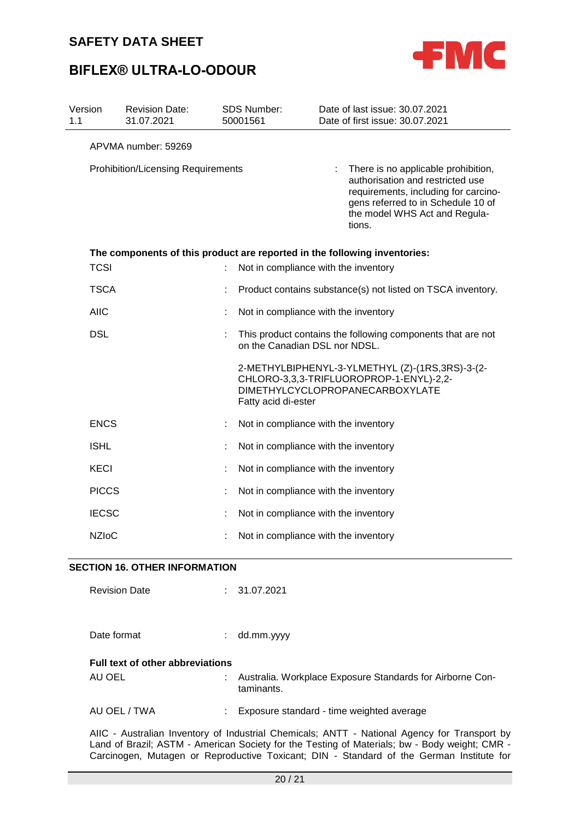



| Version<br>1.1 |              | <b>Revision Date:</b><br>31.07.2021                                       | <b>SDS Number:</b><br>50001561       | Date of last issue: 30.07.2021<br>Date of first issue: 30.07.2021                                                                                                                                |
|----------------|--------------|---------------------------------------------------------------------------|--------------------------------------|--------------------------------------------------------------------------------------------------------------------------------------------------------------------------------------------------|
|                |              | APVMA number: 59269                                                       |                                      |                                                                                                                                                                                                  |
|                |              | <b>Prohibition/Licensing Requirements</b>                                 |                                      | There is no applicable prohibition,<br>authorisation and restricted use<br>requirements, including for carcino-<br>gens referred to in Schedule 10 of<br>the model WHS Act and Regula-<br>tions. |
|                |              | The components of this product are reported in the following inventories: |                                      |                                                                                                                                                                                                  |
|                | <b>TCSI</b>  |                                                                           | Not in compliance with the inventory |                                                                                                                                                                                                  |
|                | <b>TSCA</b>  |                                                                           |                                      | Product contains substance(s) not listed on TSCA inventory.                                                                                                                                      |
|                | <b>AIIC</b>  |                                                                           | Not in compliance with the inventory |                                                                                                                                                                                                  |
|                | <b>DSL</b>   |                                                                           | on the Canadian DSL nor NDSL.        | This product contains the following components that are not                                                                                                                                      |
|                |              |                                                                           | Fatty acid di-ester                  | 2-METHYLBIPHENYL-3-YLMETHYL (Z)-(1RS,3RS)-3-(2-<br>CHLORO-3,3,3-TRIFLUOROPROP-1-ENYL)-2,2-<br><b>DIMETHYLCYCLOPROPANECARBOXYLATE</b>                                                             |
|                | <b>ENCS</b>  |                                                                           | Not in compliance with the inventory |                                                                                                                                                                                                  |
|                | <b>ISHL</b>  |                                                                           | Not in compliance with the inventory |                                                                                                                                                                                                  |
|                | KECI         |                                                                           | Not in compliance with the inventory |                                                                                                                                                                                                  |
|                | <b>PICCS</b> |                                                                           | Not in compliance with the inventory |                                                                                                                                                                                                  |
|                | <b>IECSC</b> |                                                                           | Not in compliance with the inventory |                                                                                                                                                                                                  |
|                | <b>NZIoC</b> |                                                                           | Not in compliance with the inventory |                                                                                                                                                                                                  |

#### **SECTION 16. OTHER INFORMATION**

| <b>Revision Date</b>                    | t. | 31.07.2021                                                              |
|-----------------------------------------|----|-------------------------------------------------------------------------|
| Date format                             | ÷. | dd.mm.yyyy                                                              |
| <b>Full text of other abbreviations</b> |    |                                                                         |
| AU OEL                                  |    | Australia. Workplace Exposure Standards for Airborne Con-<br>taminants. |
| AU OEL / TWA                            |    | Exposure standard - time weighted average                               |

AIIC - Australian Inventory of Industrial Chemicals; ANTT - National Agency for Transport by Land of Brazil; ASTM - American Society for the Testing of Materials; bw - Body weight; CMR - Carcinogen, Mutagen or Reproductive Toxicant; DIN - Standard of the German Institute for